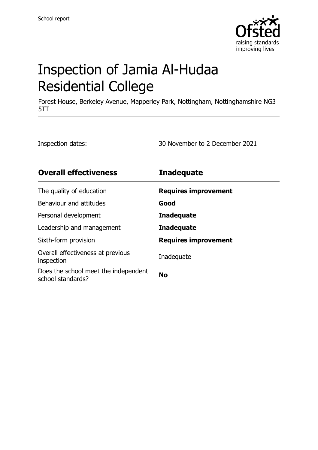

# Inspection of Jamia Al-Hudaa Residential College

Forest House, Berkeley Avenue, Mapperley Park, Nottingham, Nottinghamshire NG3 5TT

Inspection dates: 30 November to 2 December 2021

| <b>Overall effectiveness</b>                              | <b>Inadequate</b>           |
|-----------------------------------------------------------|-----------------------------|
| The quality of education                                  | <b>Requires improvement</b> |
| Behaviour and attitudes                                   | Good                        |
| Personal development                                      | <b>Inadequate</b>           |
| Leadership and management                                 | <b>Inadequate</b>           |
| Sixth-form provision                                      | <b>Requires improvement</b> |
| Overall effectiveness at previous<br>inspection           | Inadequate                  |
| Does the school meet the independent<br>school standards? | <b>No</b>                   |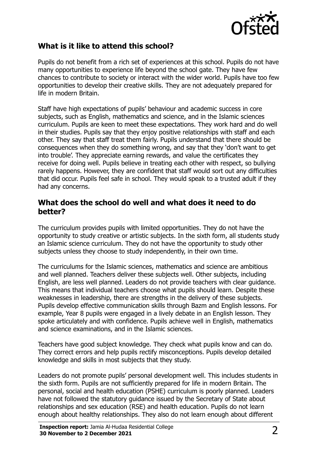

## **What is it like to attend this school?**

Pupils do not benefit from a rich set of experiences at this school. Pupils do not have many opportunities to experience life beyond the school gate. They have few chances to contribute to society or interact with the wider world. Pupils have too few opportunities to develop their creative skills. They are not adequately prepared for life in modern Britain.

Staff have high expectations of pupils' behaviour and academic success in core subjects, such as English, mathematics and science, and in the Islamic sciences curriculum. Pupils are keen to meet these expectations. They work hard and do well in their studies. Pupils say that they enjoy positive relationships with staff and each other. They say that staff treat them fairly. Pupils understand that there should be consequences when they do something wrong, and say that they 'don't want to get into trouble'. They appreciate earning rewards, and value the certificates they receive for doing well. Pupils believe in treating each other with respect, so bullying rarely happens. However, they are confident that staff would sort out any difficulties that did occur. Pupils feel safe in school. They would speak to a trusted adult if they had any concerns.

#### **What does the school do well and what does it need to do better?**

The curriculum provides pupils with limited opportunities. They do not have the opportunity to study creative or artistic subjects. In the sixth form, all students study an Islamic science curriculum. They do not have the opportunity to study other subjects unless they choose to study independently, in their own time.

The curriculums for the Islamic sciences, mathematics and science are ambitious and well planned. Teachers deliver these subjects well. Other subjects, including English, are less well planned. Leaders do not provide teachers with clear guidance. This means that individual teachers choose what pupils should learn. Despite these weaknesses in leadership, there are strengths in the delivery of these subjects. Pupils develop effective communication skills through Bazm and English lessons. For example, Year 8 pupils were engaged in a lively debate in an English lesson. They spoke articulately and with confidence. Pupils achieve well in English, mathematics and science examinations, and in the Islamic sciences.

Teachers have good subject knowledge. They check what pupils know and can do. They correct errors and help pupils rectify misconceptions. Pupils develop detailed knowledge and skills in most subjects that they study.

Leaders do not promote pupils' personal development well. This includes students in the sixth form. Pupils are not sufficiently prepared for life in modern Britain. The personal, social and health education (PSHE) curriculum is poorly planned. Leaders have not followed the statutory guidance issued by the Secretary of State about relationships and sex education (RSE) and health education. Pupils do not learn enough about healthy relationships. They also do not learn enough about different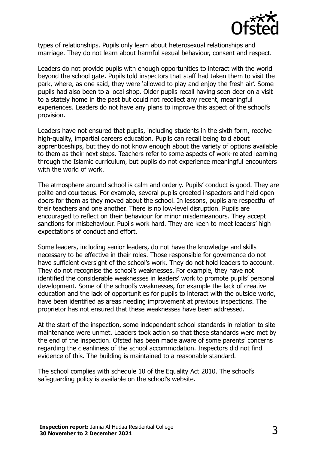

types of relationships. Pupils only learn about heterosexual relationships and marriage. They do not learn about harmful sexual behaviour, consent and respect.

Leaders do not provide pupils with enough opportunities to interact with the world beyond the school gate. Pupils told inspectors that staff had taken them to visit the park, where, as one said, they were 'allowed to play and enjoy the fresh air'. Some pupils had also been to a local shop. Older pupils recall having seen deer on a visit to a stately home in the past but could not recollect any recent, meaningful experiences. Leaders do not have any plans to improve this aspect of the school's provision.

Leaders have not ensured that pupils, including students in the sixth form, receive high-quality, impartial careers education. Pupils can recall being told about apprenticeships, but they do not know enough about the variety of options available to them as their next steps. Teachers refer to some aspects of work-related learning through the Islamic curriculum, but pupils do not experience meaningful encounters with the world of work.

The atmosphere around school is calm and orderly. Pupils' conduct is good. They are polite and courteous. For example, several pupils greeted inspectors and held open doors for them as they moved about the school. In lessons, pupils are respectful of their teachers and one another. There is no low-level disruption. Pupils are encouraged to reflect on their behaviour for minor misdemeanours. They accept sanctions for misbehaviour. Pupils work hard. They are keen to meet leaders' high expectations of conduct and effort.

Some leaders, including senior leaders, do not have the knowledge and skills necessary to be effective in their roles. Those responsible for governance do not have sufficient oversight of the school's work. They do not hold leaders to account. They do not recognise the school's weaknesses. For example, they have not identified the considerable weaknesses in leaders' work to promote pupils' personal development. Some of the school's weaknesses, for example the lack of creative education and the lack of opportunities for pupils to interact with the outside world, have been identified as areas needing improvement at previous inspections. The proprietor has not ensured that these weaknesses have been addressed.

At the start of the inspection, some independent school standards in relation to site maintenance were unmet. Leaders took action so that these standards were met by the end of the inspection. Ofsted has been made aware of some parents' concerns regarding the cleanliness of the school accommodation. Inspectors did not find evidence of this. The building is maintained to a reasonable standard.

The school complies with schedule 10 of the Equality Act 2010. The school's safeguarding policy is available on the school's website.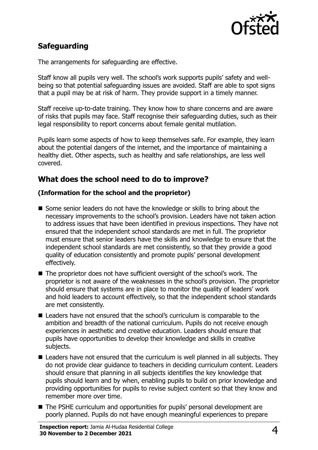

# **Safeguarding**

The arrangements for safeguarding are effective.

Staff know all pupils very well. The school's work supports pupils' safety and wellbeing so that potential safeguarding issues are avoided. Staff are able to spot signs that a pupil may be at risk of harm. They provide support in a timely manner.

Staff receive up-to-date training. They know how to share concerns and are aware of risks that pupils may face. Staff recognise their safeguarding duties, such as their legal responsibility to report concerns about female genital mutilation.

Pupils learn some aspects of how to keep themselves safe. For example, they learn about the potential dangers of the internet, and the importance of maintaining a healthy diet. Other aspects, such as healthy and safe relationships, are less well covered.

## **What does the school need to do to improve?**

#### **(Information for the school and the proprietor)**

- Some senior leaders do not have the knowledge or skills to bring about the necessary improvements to the school's provision. Leaders have not taken action to address issues that have been identified in previous inspections. They have not ensured that the independent school standards are met in full. The proprietor must ensure that senior leaders have the skills and knowledge to ensure that the independent school standards are met consistently, so that they provide a good quality of education consistently and promote pupils' personal development effectively.
- The proprietor does not have sufficient oversight of the school's work. The proprietor is not aware of the weaknesses in the school's provision. The proprietor should ensure that systems are in place to monitor the quality of leaders' work and hold leaders to account effectively, so that the independent school standards are met consistently.
- Leaders have not ensured that the school's curriculum is comparable to the ambition and breadth of the national curriculum. Pupils do not receive enough experiences in aesthetic and creative education. Leaders should ensure that pupils have opportunities to develop their knowledge and skills in creative subjects.
- Leaders have not ensured that the curriculum is well planned in all subjects. They do not provide clear guidance to teachers in deciding curriculum content. Leaders should ensure that planning in all subjects identifies the key knowledge that pupils should learn and by when, enabling pupils to build on prior knowledge and providing opportunities for pupils to revise subject content so that they know and remember more over time.
- The PSHE curriculum and opportunities for pupils' personal development are poorly planned. Pupils do not have enough meaningful experiences to prepare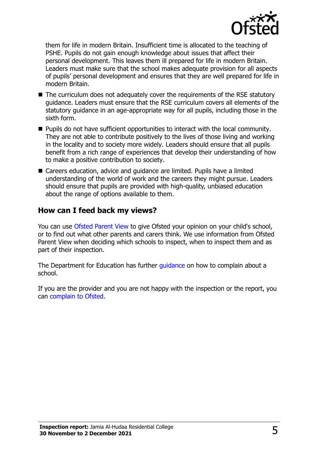

them for life in modern Britain. Insufficient time is allocated to the teaching of PSHE. Pupils do not gain enough knowledge about issues that affect their personal development. This leaves them ill prepared for life in modern Britain. Leaders must make sure that the school makes adequate provision for all aspects of pupils' personal development and ensures that they are well prepared for life in modern Britain.

- The curriculum does not adequately cover the requirements of the RSE statutory guidance. Leaders must ensure that the RSE curriculum covers all elements of the statutory guidance in an age-appropriate way for all pupils, including those in the sixth form.
- $\blacksquare$  Pupils do not have sufficient opportunities to interact with the local community. They are not able to contribute positively to the lives of those living and working in the locality and to society more widely. Leaders should ensure that all pupils benefit from a rich range of experiences that develop their understanding of how to make a positive contribution to society.
- Careers education, advice and quidance are limited. Pupils have a limited understanding of the world of work and the careers they might pursue. Leaders should ensure that pupils are provided with high-quality, unbiased education about the range of options available to them.

## **How can I feed back my views?**

You can use [Ofsted Parent View](http://parentview.ofsted.gov.uk/) to give Ofsted your opinion on your child's school, or to find out what other parents and carers think. We use information from Ofsted Parent View when deciding which schools to inspect, when to inspect them and as part of their inspection.

The Department for Education has further quidance on how to complain about a school.

If you are the provider and you are not happy with the inspection or the report, you can [complain to Ofsted.](http://www.gov.uk/complain-ofsted-report)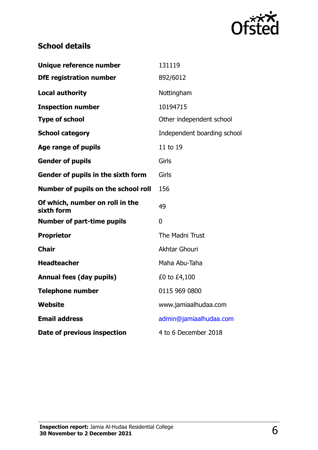

# **School details**

| Unique reference number                       | 131119                      |
|-----------------------------------------------|-----------------------------|
| <b>DfE registration number</b>                | 892/6012                    |
| <b>Local authority</b>                        | Nottingham                  |
| <b>Inspection number</b>                      | 10194715                    |
| <b>Type of school</b>                         | Other independent school    |
| <b>School category</b>                        | Independent boarding school |
| <b>Age range of pupils</b>                    | 11 to 19                    |
| <b>Gender of pupils</b>                       | Girls                       |
| Gender of pupils in the sixth form            | Girls                       |
| Number of pupils on the school roll           | 156                         |
| Of which, number on roll in the<br>sixth form | 49                          |
| <b>Number of part-time pupils</b>             | 0                           |
| <b>Proprietor</b>                             | The Madni Trust             |
| <b>Chair</b>                                  | <b>Akhtar Ghouri</b>        |
| <b>Headteacher</b>                            | Maha Abu-Taha               |
| <b>Annual fees (day pupils)</b>               | £0 to £4,100                |
| <b>Telephone number</b>                       | 0115 969 0800               |
| <b>Website</b>                                | www.jamiaalhudaa.com        |
| <b>Email address</b>                          | admin@jamiaalhudaa.com      |
| Date of previous inspection                   | 4 to 6 December 2018        |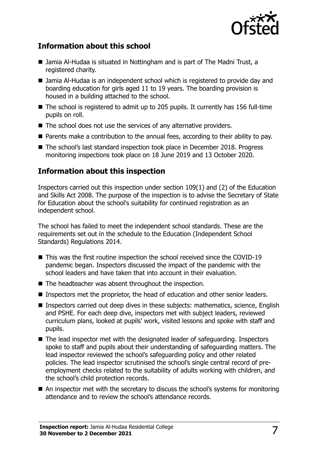

## **Information about this school**

- Jamia Al-Hudaa is situated in Nottingham and is part of The Madni Trust, a registered charity.
- Jamia Al-Hudaa is an independent school which is registered to provide day and boarding education for girls aged 11 to 19 years. The boarding provision is housed in a building attached to the school.
- $\blacksquare$  The school is registered to admit up to 205 pupils. It currently has 156 full-time pupils on roll.
- The school does not use the services of any alternative providers.
- **Parents make a contribution to the annual fees, according to their ability to pay.**
- The school's last standard inspection took place in December 2018. Progress monitoring inspections took place on 18 June 2019 and 13 October 2020.

## **Information about this inspection**

Inspectors carried out this inspection under section 109(1) and (2) of the Education and Skills Act 2008. The purpose of the inspection is to advise the Secretary of State for Education about the school's suitability for continued registration as an independent school.

The school has failed to meet the independent school standards. These are the requirements set out in the schedule to the Education (Independent School Standards) Regulations 2014.

- This was the first routine inspection the school received since the COVID-19 pandemic began. Inspectors discussed the impact of the pandemic with the school leaders and have taken that into account in their evaluation.
- $\blacksquare$  The headteacher was absent throughout the inspection.
- **Inspectors met the proprietor, the head of education and other senior leaders.**
- Inspectors carried out deep dives in these subjects: mathematics, science, English and PSHE. For each deep dive, inspectors met with subject leaders, reviewed curriculum plans, looked at pupils' work, visited lessons and spoke with staff and pupils.
- The lead inspector met with the designated leader of safeguarding. Inspectors spoke to staff and pupils about their understanding of safeguarding matters. The lead inspector reviewed the school's safeguarding policy and other related policies. The lead inspector scrutinised the school's single central record of preemployment checks related to the suitability of adults working with children, and the school's child protection records.
- An inspector met with the secretary to discuss the school's systems for monitoring attendance and to review the school's attendance records.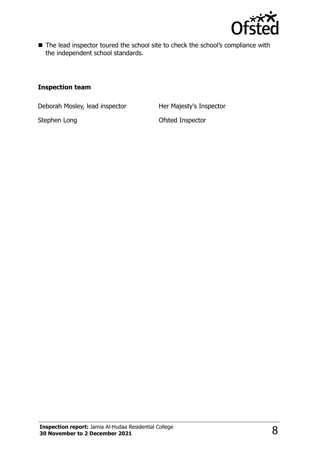

■ The lead inspector toured the school site to check the school's compliance with the independent school standards.

#### **Inspection team**

Deborah Mosley, lead inspector Her Majesty's Inspector

Stephen Long **Contract Contract Contract Contract Contract Contract Contract Contract Contract Contract Contract Contract Contract Contract Contract Contract Contract Contract Contract Contract Contract Contract Contract C**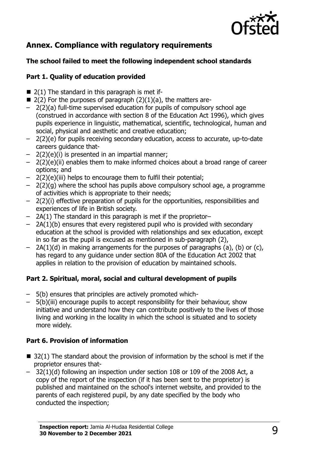

# **Annex. Compliance with regulatory requirements**

#### **The school failed to meet the following independent school standards**

#### **Part 1. Quality of education provided**

- $\blacksquare$  2(1) The standard in this paragraph is met if-
- 2(2) For the purposes of paragraph (2)(1)(a), the matters are-
- 2(2)(a) full-time supervised education for pupils of compulsory school age (construed in accordance with section 8 of the Education Act 1996), which gives pupils experience in linguistic, mathematical, scientific, technological, human and social, physical and aesthetic and creative education;
- 2(2)(e) for pupils receiving secondary education, access to accurate, up-to-date careers guidance that-
- 2(2)(e)(i) is presented in an impartial manner;
- 2(2)(e)(ii) enables them to make informed choices about a broad range of career options; and
- 2(2)(e)(iii) helps to encourage them to fulfil their potential;
- 2(2)(g) where the school has pupils above compulsory school age, a programme of activities which is appropriate to their needs;
- 2(2)(i) effective preparation of pupils for the opportunities, responsibilities and experiences of life in British society.
- 2A(1) The standard in this paragraph is met if the proprietor–
- 2A(1)(b) ensures that every registered pupil who is provided with secondary education at the school is provided with relationships and sex education, except in so far as the pupil is excused as mentioned in sub-paragraph (2),
- 2A(1)(d) in making arrangements for the purposes of paragraphs (a), (b) or (c), has regard to any guidance under section 80A of the Education Act 2002 that applies in relation to the provision of education by maintained schools.

#### **Part 2. Spiritual, moral, social and cultural development of pupils**

- 5(b) ensures that principles are actively promoted which-
- 5(b)(iii) encourage pupils to accept responsibility for their behaviour, show initiative and understand how they can contribute positively to the lives of those living and working in the locality in which the school is situated and to society more widely.

#### **Part 6. Provision of information**

- $\blacksquare$  32(1) The standard about the provision of information by the school is met if the proprietor ensures that-
- 32(1)(d) following an inspection under section 108 or 109 of the 2008 Act, a copy of the report of the inspection (if it has been sent to the proprietor) is published and maintained on the school's internet website, and provided to the parents of each registered pupil, by any date specified by the body who conducted the inspection;